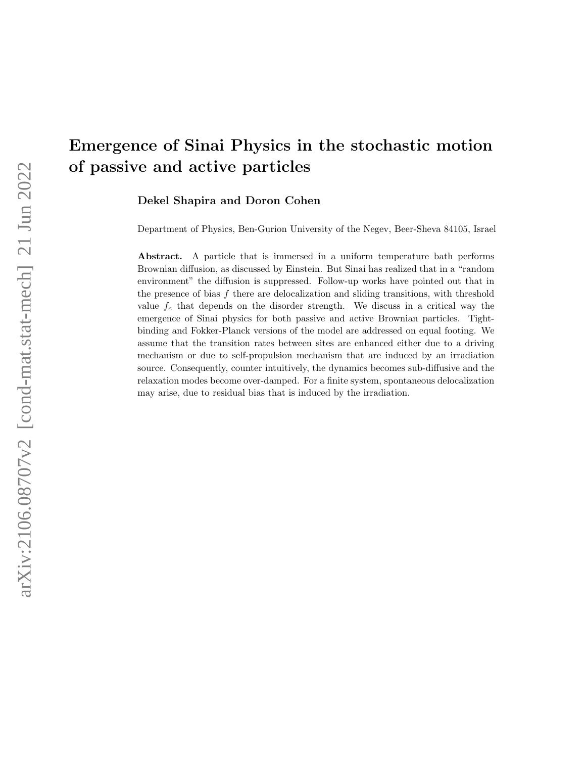# Emergence of Sinai Physics in the stochastic motion of passive and active particles

Dekel Shapira and Doron Cohen

Department of Physics, Ben-Gurion University of the Negev, Beer-Sheva 84105, Israel

Abstract. A particle that is immersed in a uniform temperature bath performs Brownian diffusion, as discussed by Einstein. But Sinai has realized that in a "random environment" the diffusion is suppressed. Follow-up works have pointed out that in the presence of bias  $f$  there are delocalization and sliding transitions, with threshold value  $f_c$  that depends on the disorder strength. We discuss in a critical way the emergence of Sinai physics for both passive and active Brownian particles. Tightbinding and Fokker-Planck versions of the model are addressed on equal footing. We assume that the transition rates between sites are enhanced either due to a driving mechanism or due to self-propulsion mechanism that are induced by an irradiation source. Consequently, counter intuitively, the dynamics becomes sub-diffusive and the relaxation modes become over-damped. For a finite system, spontaneous delocalization may arise, due to residual bias that is induced by the irradiation.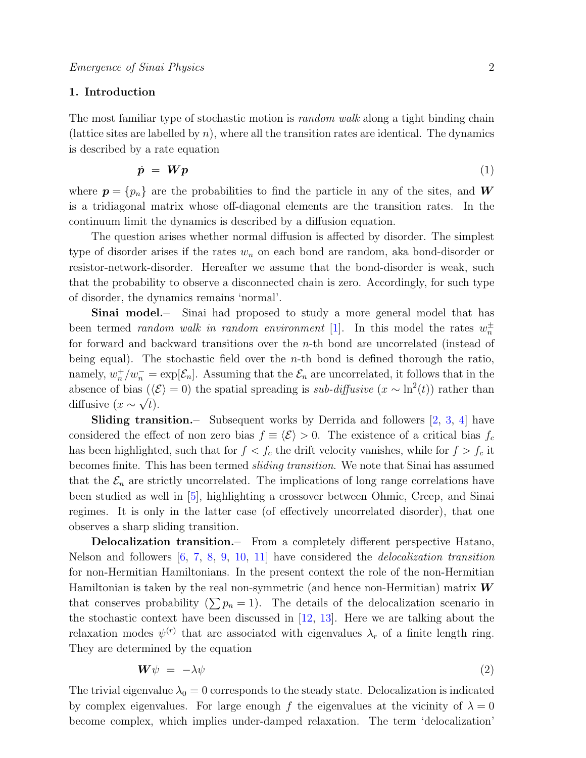## 1. Introduction

The most familiar type of stochastic motion is *random walk* along a tight binding chain (lattice sites are labelled by  $n$ ), where all the transition rates are identical. The dynamics is described by a rate equation

$$
\dot{\mathbf{p}} = \mathbf{W}\mathbf{p} \tag{1}
$$

where  $p = \{p_n\}$  are the probabilities to find the particle in any of the sites, and W is a tridiagonal matrix whose off-diagonal elements are the transition rates. In the continuum limit the dynamics is described by a diffusion equation.

The question arises whether normal diffusion is affected by disorder. The simplest type of disorder arises if the rates  $w_n$  on each bond are random, aka bond-disorder or resistor-network-disorder. Hereafter we assume that the bond-disorder is weak, such that the probability to observe a disconnected chain is zero. Accordingly, for such type of disorder, the dynamics remains 'normal'.

Sinai model.– Sinai had proposed to study a more general model that has been termed *random walk in random environment* [\[1\]](#page-24-0). In this model the rates  $w_n^{\pm}$ for forward and backward transitions over the n-th bond are uncorrelated (instead of being equal). The stochastic field over the *n*-th bond is defined thorough the ratio, namely,  $w_n^+/w_n^- = \exp[\mathcal{E}_n]$ . Assuming that the  $\mathcal{E}_n$  are uncorrelated, it follows that in the absence of bias  $(\langle \mathcal{E} \rangle = 0)$  the spatial spreading is *sub-diffusive*  $(x \sim \ln^2(t))$  rather than diffusive  $(x \sim \sqrt{t}).$ 

**Sliding transition.** Subsequent works by Derrida and followers  $[2, 3, 4]$  $[2, 3, 4]$  $[2, 3, 4]$  $[2, 3, 4]$  $[2, 3, 4]$  have considered the effect of non zero bias  $f \equiv \langle \mathcal{E} \rangle > 0$ . The existence of a critical bias  $f_c$ has been highlighted, such that for  $f < f_c$  the drift velocity vanishes, while for  $f > f_c$  it becomes finite. This has been termed sliding transition. We note that Sinai has assumed that the  $\mathcal{E}_n$  are strictly uncorrelated. The implications of long range correlations have been studied as well in [\[5\]](#page-24-4), highlighting a crossover between Ohmic, Creep, and Sinai regimes. It is only in the latter case (of effectively uncorrelated disorder), that one observes a sharp sliding transition.

Delocalization transition.– From a completely different perspective Hatano, Nelson and followers [\[6,](#page-24-5) [7,](#page-24-6) [8,](#page-24-7) [9,](#page-24-8) [10,](#page-24-9) [11\]](#page-24-10) have considered the delocalization transition for non-Hermitian Hamiltonians. In the present context the role of the non-Hermitian Hamiltonian is taken by the real non-symmetric (and hence non-Hermitian) matrix  $W$ that conserves probability  $(\sum p_n = 1)$ . The details of the delocalization scenario in the stochastic context have been discussed in [\[12,](#page-24-11) [13\]](#page-24-12). Here we are talking about the relaxation modes  $\psi^{(r)}$  that are associated with eigenvalues  $\lambda_r$  of a finite length ring. They are determined by the equation

$$
W\psi = -\lambda\psi \tag{2}
$$

The trivial eigenvalue  $\lambda_0 = 0$  corresponds to the steady state. Delocalization is indicated by complex eigenvalues. For large enough f the eigenvalues at the vicinity of  $\lambda = 0$ become complex, which implies under-damped relaxation. The term 'delocalization'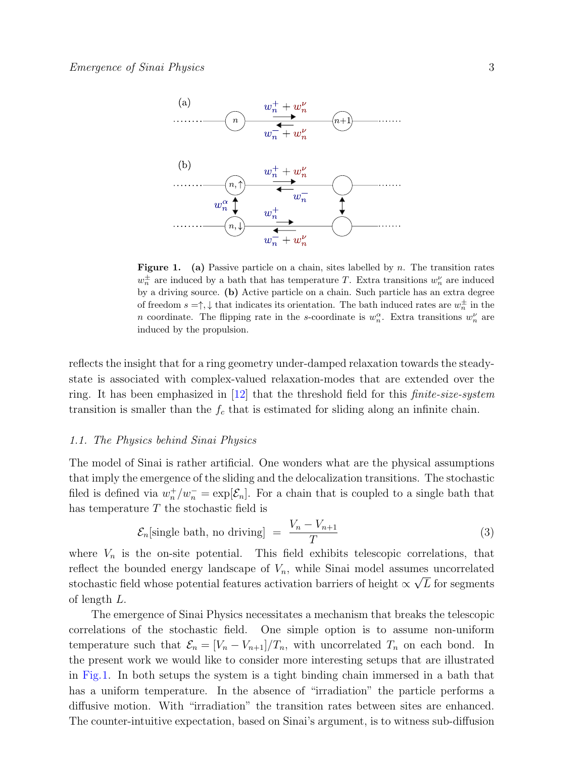

<span id="page-2-0"></span>**Figure 1.** (a) Passive particle on a chain, sites labelled by  $n$ . The transition rates  $w_n^{\pm}$  are induced by a bath that has temperature T. Extra transitions  $w_n^{\nu}$  are induced by a driving source. (b) Active particle on a chain. Such particle has an extra degree of freedom  $s = \uparrow, \downarrow$  that indicates its orientation. The bath induced rates are  $w_n^{\pm}$  in the n coordinate. The flipping rate in the s-coordinate is  $w_n^{\alpha}$ . Extra transitions  $w_n^{\nu}$  are induced by the propulsion.

reflects the insight that for a ring geometry under-damped relaxation towards the steadystate is associated with complex-valued relaxation-modes that are extended over the ring. It has been emphasized in  $[12]$  that the threshold field for this *finite-size-system* transition is smaller than the  $f_c$  that is estimated for sliding along an infinite chain.

#### 1.1. The Physics behind Sinai Physics

The model of Sinai is rather artificial. One wonders what are the physical assumptions that imply the emergence of the sliding and the delocalization transitions. The stochastic filed is defined via  $w_n^+/w_n^- = \exp[\mathcal{E}_n]$ . For a chain that is coupled to a single bath that has temperature T the stochastic field is

<span id="page-2-1"></span>
$$
\mathcal{E}_n[\text{single bath, no driving}] = \frac{V_n - V_{n+1}}{T} \tag{3}
$$

where  $V_n$  is the on-site potential. This field exhibits telescopic correlations, that reflect the bounded energy landscape of  $V_n$ , while Sinai model assumes uncorrelated stochastic field whose potential features activation barriers of height  $\propto \sqrt{L}$  for segments of length L.

The emergence of Sinai Physics necessitates a mechanism that breaks the telescopic correlations of the stochastic field. One simple option is to assume non-uniform temperature such that  $\mathcal{E}_n = [V_n - V_{n+1}]/T_n$ , with uncorrelated  $T_n$  on each bond. In the present work we would like to consider more interesting setups that are illustrated in Fig[.1.](#page-2-0) In both setups the system is a tight binding chain immersed in a bath that has a uniform temperature. In the absence of "irradiation" the particle performs a diffusive motion. With "irradiation" the transition rates between sites are enhanced. The counter-intuitive expectation, based on Sinai's argument, is to witness sub-diffusion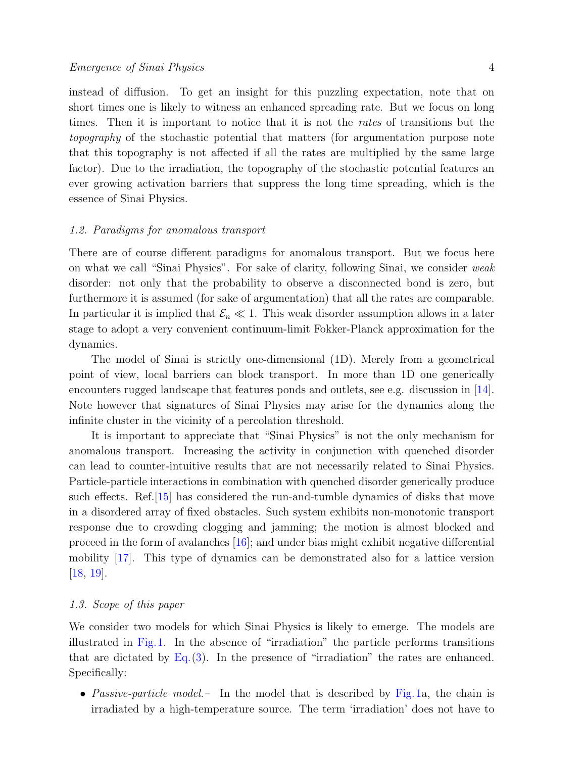instead of diffusion. To get an insight for this puzzling expectation, note that on short times one is likely to witness an enhanced spreading rate. But we focus on long times. Then it is important to notice that it is not the rates of transitions but the topography of the stochastic potential that matters (for argumentation purpose note that this topography is not affected if all the rates are multiplied by the same large factor). Due to the irradiation, the topography of the stochastic potential features an ever growing activation barriers that suppress the long time spreading, which is the essence of Sinai Physics.

# 1.2. Paradigms for anomalous transport

There are of course different paradigms for anomalous transport. But we focus here on what we call "Sinai Physics". For sake of clarity, following Sinai, we consider weak disorder: not only that the probability to observe a disconnected bond is zero, but furthermore it is assumed (for sake of argumentation) that all the rates are comparable. In particular it is implied that  $\mathcal{E}_n \ll 1$ . This weak disorder assumption allows in a later stage to adopt a very convenient continuum-limit Fokker-Planck approximation for the dynamics.

The model of Sinai is strictly one-dimensional (1D). Merely from a geometrical point of view, local barriers can block transport. In more than 1D one generically encounters rugged landscape that features ponds and outlets, see e.g. discussion in [\[14\]](#page-24-13). Note however that signatures of Sinai Physics may arise for the dynamics along the infinite cluster in the vicinity of a percolation threshold.

It is important to appreciate that "Sinai Physics" is not the only mechanism for anomalous transport. Increasing the activity in conjunction with quenched disorder can lead to counter-intuitive results that are not necessarily related to Sinai Physics. Particle-particle interactions in combination with quenched disorder generically produce such effects. Ref.[\[15\]](#page-24-14) has considered the run-and-tumble dynamics of disks that move in a disordered array of fixed obstacles. Such system exhibits non-monotonic transport response due to crowding clogging and jamming; the motion is almost blocked and proceed in the form of avalanches [\[16\]](#page-24-15); and under bias might exhibit negative differential mobility [\[17\]](#page-24-16). This type of dynamics can be demonstrated also for a lattice version [\[18,](#page-24-17) [19\]](#page-24-18).

#### 1.3. Scope of this paper

We consider two models for which Sinai Physics is likely to emerge. The models are illustrated in Fig.[1.](#page-2-0) In the absence of "irradiation" the particle performs transitions that are dictated by  $Eq. (3)$  $Eq. (3)$ . In the presence of "irradiation" the rates are enhanced. Specifically:

• Passive-particle model. – In the model that is described by Fig.[1a](#page-2-0), the chain is irradiated by a high-temperature source. The term 'irradiation' does not have to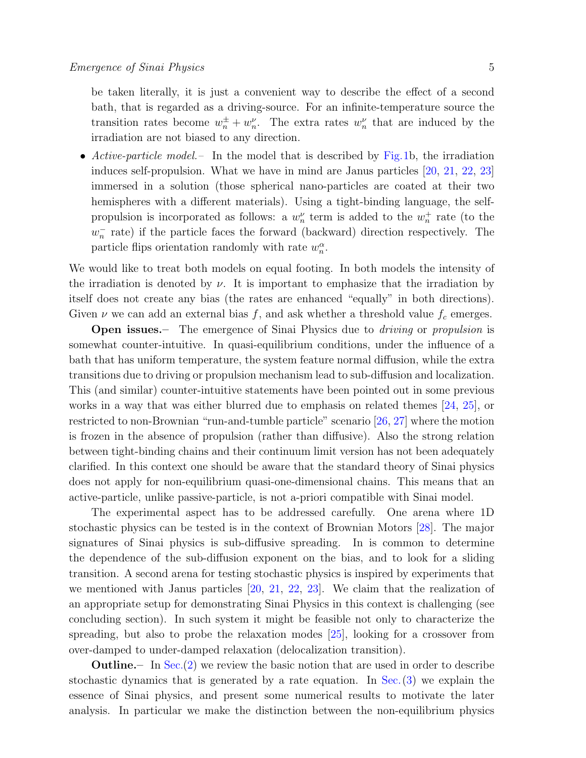be taken literally, it is just a convenient way to describe the effect of a second bath, that is regarded as a driving-source. For an infinite-temperature source the transition rates become  $w_n^{\pm} + w_n^{\nu}$ . The extra rates  $w_n^{\nu}$  that are induced by the irradiation are not biased to any direction.

• Active-particle model. – In the model that is described by Fig.[1b](#page-2-0), the irradiation induces self-propulsion. What we have in mind are Janus particles [\[20,](#page-24-19) [21,](#page-24-20) [22,](#page-24-21) [23\]](#page-24-22) immersed in a solution (those spherical nano-particles are coated at their two hemispheres with a different materials). Using a tight-binding language, the selfpropulsion is incorporated as follows: a  $w_n^{\nu}$  term is added to the  $w_n^+$  rate (to the  $w_n^-$  rate) if the particle faces the forward (backward) direction respectively. The particle flips orientation randomly with rate  $w_n^{\alpha}$ .

We would like to treat both models on equal footing. In both models the intensity of the irradiation is denoted by  $\nu$ . It is important to emphasize that the irradiation by itself does not create any bias (the rates are enhanced "equally" in both directions). Given  $\nu$  we can add an external bias f, and ask whether a threshold value  $f_c$  emerges.

**Open issues.**— The emergence of Sinai Physics due to *driving* or *propulsion* is somewhat counter-intuitive. In quasi-equilibrium conditions, under the influence of a bath that has uniform temperature, the system feature normal diffusion, while the extra transitions due to driving or propulsion mechanism lead to sub-diffusion and localization. This (and similar) counter-intuitive statements have been pointed out in some previous works in a way that was either blurred due to emphasis on related themes [\[24,](#page-24-23) [25\]](#page-24-24), or restricted to non-Brownian "run-and-tumble particle" scenario [\[26,](#page-24-25) [27\]](#page-24-26) where the motion is frozen in the absence of propulsion (rather than diffusive). Also the strong relation between tight-binding chains and their continuum limit version has not been adequately clarified. In this context one should be aware that the standard theory of Sinai physics does not apply for non-equilibrium quasi-one-dimensional chains. This means that an active-particle, unlike passive-particle, is not a-priori compatible with Sinai model.

The experimental aspect has to be addressed carefully. One arena where 1D stochastic physics can be tested is in the context of Brownian Motors [\[28\]](#page-24-27). The major signatures of Sinai physics is sub-diffusive spreading. In is common to determine the dependence of the sub-diffusion exponent on the bias, and to look for a sliding transition. A second arena for testing stochastic physics is inspired by experiments that we mentioned with Janus particles [\[20,](#page-24-19) [21,](#page-24-20) [22,](#page-24-21) [23\]](#page-24-22). We claim that the realization of an appropriate setup for demonstrating Sinai Physics in this context is challenging (see concluding section). In such system it might be feasible not only to characterize the spreading, but also to probe the relaxation modes [\[25\]](#page-24-24), looking for a crossover from over-damped to under-damped relaxation (delocalization transition).

Outline.– In Sec.[\(2\)](#page-5-0) we review the basic notion that are used in order to describe stochastic dynamics that is generated by a rate equation. In Sec.[\(3\)](#page-6-0) we explain the essence of Sinai physics, and present some numerical results to motivate the later analysis. In particular we make the distinction between the non-equilibrium physics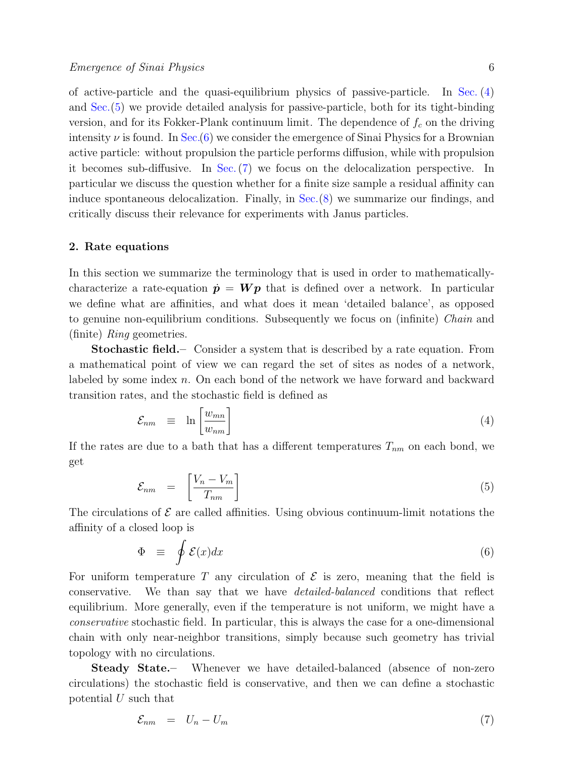of active-particle and the quasi-equilibrium physics of passive-particle. In Sec. [\(4\)](#page-9-0) and Sec.[\(5\)](#page-12-0) we provide detailed analysis for passive-particle, both for its tight-binding version, and for its Fokker-Plank continuum limit. The dependence of  $f_c$  on the driving intensity  $\nu$  is found. In Sec.[\(6\)](#page-13-0) we consider the emergence of Sinai Physics for a Brownian active particle: without propulsion the particle performs diffusion, while with propulsion it becomes sub-diffusive. In Sec.[\(7\)](#page-16-0) we focus on the delocalization perspective. In particular we discuss the question whether for a finite size sample a residual affinity can induce spontaneous delocalization. Finally, in Sec.[\(8\)](#page-18-0) we summarize our findings, and critically discuss their relevance for experiments with Janus particles.

#### <span id="page-5-0"></span>2. Rate equations

In this section we summarize the terminology that is used in order to mathematicallycharacterize a rate-equation  $\dot{p} = Wp$  that is defined over a network. In particular we define what are affinities, and what does it mean 'detailed balance', as opposed to genuine non-equilibrium conditions. Subsequently we focus on (infinite) Chain and (finite) Ring geometries.

Stochastic field.– Consider a system that is described by a rate equation. From a mathematical point of view we can regard the set of sites as nodes of a network, labeled by some index n. On each bond of the network we have forward and backward transition rates, and the stochastic field is defined as

<span id="page-5-3"></span>
$$
\mathcal{E}_{nm} \equiv \ln \left[ \frac{w_{mn}}{w_{nm}} \right] \tag{4}
$$

If the rates are due to a bath that has a different temperatures  $T_{nm}$  on each bond, we get

<span id="page-5-1"></span>
$$
\mathcal{E}_{nm} = \left[\frac{V_n - V_m}{T_{nm}}\right] \tag{5}
$$

The circulations of  $\mathcal E$  are called affinities. Using obvious continuum-limit notations the affinity of a closed loop is

$$
\Phi \equiv \oint \mathcal{E}(x) dx \tag{6}
$$

For uniform temperature T any circulation of  $\mathcal E$  is zero, meaning that the field is conservative. We than say that we have detailed-balanced conditions that reflect equilibrium. More generally, even if the temperature is not uniform, we might have a conservative stochastic field. In particular, this is always the case for a one-dimensional chain with only near-neighbor transitions, simply because such geometry has trivial topology with no circulations.

Steady State.– Whenever we have detailed-balanced (absence of non-zero circulations) the stochastic field is conservative, and then we can define a stochastic potential U such that

<span id="page-5-2"></span>
$$
\mathcal{E}_{nm} = U_n - U_m \tag{7}
$$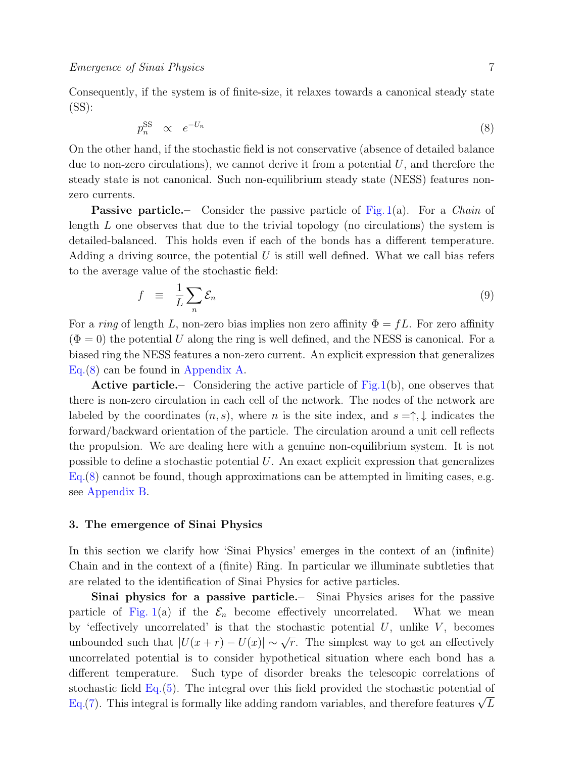Consequently, if the system is of finite-size, it relaxes towards a canonical steady state (SS):

<span id="page-6-1"></span>
$$
p_n^{\rm SS} \propto e^{-U_n} \tag{8}
$$

On the other hand, if the stochastic field is not conservative (absence of detailed balance due to non-zero circulations), we cannot derive it from a potential  $U$ , and therefore the steady state is not canonical. Such non-equilibrium steady state (NESS) features nonzero currents.

**Passive particle.**— Consider the passive particle of Fig. [1\(](#page-2-0)a). For a *Chain* of length  $L$  one observes that due to the trivial topology (no circulations) the system is detailed-balanced. This holds even if each of the bonds has a different temperature. Adding a driving source, the potential  $U$  is still well defined. What we call bias refers to the average value of the stochastic field:

<span id="page-6-2"></span>
$$
f = \frac{1}{L} \sum_{n} \mathcal{E}_n \tag{9}
$$

For a ring of length L, non-zero bias implies non zero affinity  $\Phi = fL$ . For zero affinity  $(\Phi = 0)$  the potential U along the ring is well defined, and the NESS is canonical. For a biased ring the NESS features a non-zero current. An explicit expression that generalizes Eq.[\(8\)](#page-6-1) can be found in [Appendix A.](#page-19-0)

Active particle.– Considering the active particle of Fig[.1\(](#page-2-0)b), one observes that there is non-zero circulation in each cell of the network. The nodes of the network are labeled by the coordinates  $(n, s)$ , where n is the site index, and  $s = \uparrow, \downarrow$  indicates the forward/backward orientation of the particle. The circulation around a unit cell reflects the propulsion. We are dealing here with a genuine non-equilibrium system. It is not possible to define a stochastic potential U. An exact explicit expression that generalizes Eq.[\(8\)](#page-6-1) cannot be found, though approximations can be attempted in limiting cases, e.g. see [Appendix B.](#page-20-0)

# <span id="page-6-0"></span>3. The emergence of Sinai Physics

In this section we clarify how 'Sinai Physics' emerges in the context of an (infinite) Chain and in the context of a (finite) Ring. In particular we illuminate subtleties that are related to the identification of Sinai Physics for active particles.

Sinai physics for a passive particle.– Sinai Physics arises for the passive particle of Fig. [1\(](#page-2-0)a) if the  $\mathcal{E}_n$  become effectively uncorrelated. What we mean by 'effectively uncorrelated' is that the stochastic potential  $U$ , unlike  $V$ , becomes unbounded such that  $|U(x+r) - U(x)| \sim \sqrt{r}$ . The simplest way to get an effectively uncorrelated potential is to consider hypothetical situation where each bond has a different temperature. Such type of disorder breaks the telescopic correlations of stochastic field Eq.[\(5\)](#page-5-1). The integral over this field provided the stochastic potential of stochastic held Eq.(5). The integral over this held provided the stochastic potential of Eq.[\(7\)](#page-5-2). This integral is formally like adding random variables, and therefore features  $\sqrt{L}$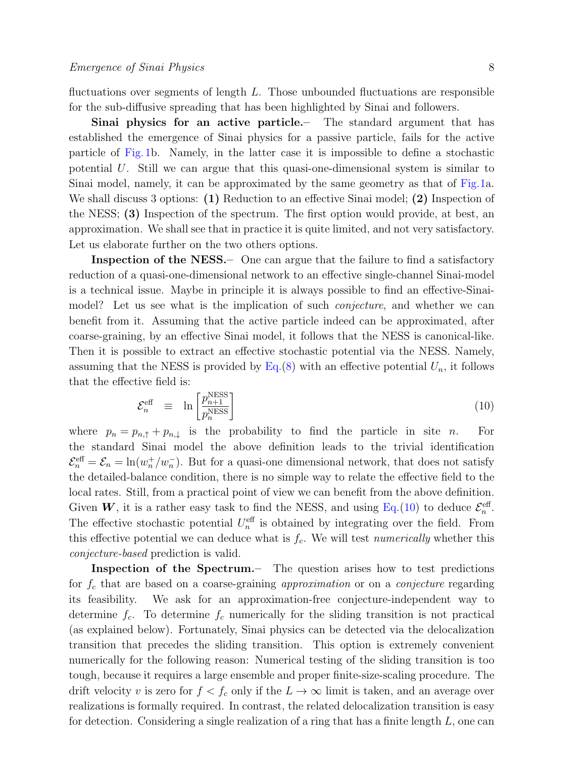fluctuations over segments of length  $L$ . Those unbounded fluctuations are responsible for the sub-diffusive spreading that has been highlighted by Sinai and followers.

Sinai physics for an active particle.– The standard argument that has established the emergence of Sinai physics for a passive particle, fails for the active particle of Fig.[1b](#page-2-0). Namely, in the latter case it is impossible to define a stochastic potential U. Still we can argue that this quasi-one-dimensional system is similar to Sinai model, namely, it can be approximated by the same geometry as that of Fig[.1a](#page-2-0). We shall discuss 3 options: (1) Reduction to an effective Sinai model; (2) Inspection of the NESS; (3) Inspection of the spectrum. The first option would provide, at best, an approximation. We shall see that in practice it is quite limited, and not very satisfactory. Let us elaborate further on the two others options.

Inspection of the NESS. One can argue that the failure to find a satisfactory reduction of a quasi-one-dimensional network to an effective single-channel Sinai-model is a technical issue. Maybe in principle it is always possible to find an effective-Sinaimodel? Let us see what is the implication of such *conjecture*, and whether we can benefit from it. Assuming that the active particle indeed can be approximated, after coarse-graining, by an effective Sinai model, it follows that the NESS is canonical-like. Then it is possible to extract an effective stochastic potential via the NESS. Namely, assuming that the NESS is provided by  $Eq.(8)$  $Eq.(8)$  with an effective potential  $U_n$ , it follows that the effective field is:

<span id="page-7-0"></span>
$$
\mathcal{E}_n^{\text{eff}} \equiv \ln \left[ \frac{p_{n+1}^{\text{NESS}}}{p_n^{\text{NESS}}} \right] \tag{10}
$$

where  $p_n = p_{n, \uparrow} + p_{n, \downarrow}$  is the probability to find the particle in site n. For the standard Sinai model the above definition leads to the trivial identification  $\mathcal{E}_n^{\text{eff}} = \mathcal{E}_n = \ln(w_n^+/w_n^-)$ . But for a quasi-one dimensional network, that does not satisfy the detailed-balance condition, there is no simple way to relate the effective field to the local rates. Still, from a practical point of view we can benefit from the above definition. Given W, it is a rather easy task to find the NESS, and using Eq.[\(10\)](#page-7-0) to deduce  $\mathcal{E}_n^{\text{eff}}$ . The effective stochastic potential  $U_n^{\text{eff}}$  is obtained by integrating over the field. From this effective potential we can deduce what is  $f_c$ . We will test *numerically* whether this conjecture-based prediction is valid.

Inspection of the Spectrum.– The question arises how to test predictions for  $f_c$  that are based on a coarse-graining *approximation* or on a *conjecture* regarding its feasibility. We ask for an approximation-free conjecture-independent way to determine  $f_c$ . To determine  $f_c$  numerically for the sliding transition is not practical (as explained below). Fortunately, Sinai physics can be detected via the delocalization transition that precedes the sliding transition. This option is extremely convenient numerically for the following reason: Numerical testing of the sliding transition is too tough, because it requires a large ensemble and proper finite-size-scaling procedure. The drift velocity v is zero for  $f < f_c$  only if the  $L \to \infty$  limit is taken, and an average over realizations is formally required. In contrast, the related delocalization transition is easy for detection. Considering a single realization of a ring that has a finite length  $L$ , one can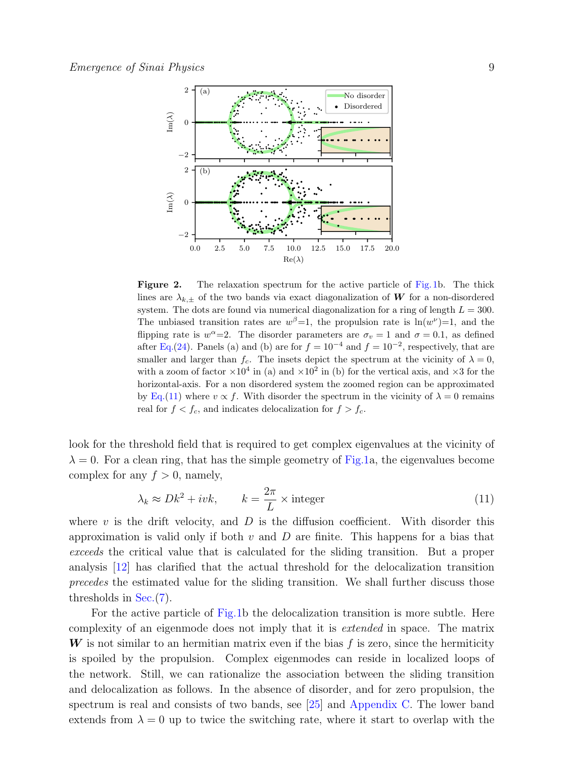

<span id="page-8-1"></span>Figure 2. The relaxation spectrum for the active particle of Fig[.1b](#page-2-0). The thick lines are  $\lambda_{k,\pm}$  of the two bands via exact diagonalization of W for a non-disordered system. The dots are found via numerical diagonalization for a ring of length  $L = 300$ . The unbiased transition rates are  $w^{\beta}=1$ , the propulsion rate is  $ln(w^{\nu})=1$ , and the flipping rate is  $w^{\alpha} = 2$ . The disorder parameters are  $\sigma_v = 1$  and  $\sigma = 0.1$ , as defined after Eq.[\(24\)](#page-11-0). Panels (a) and (b) are for  $f = 10^{-4}$  and  $f = 10^{-2}$ , respectively, that are smaller and larger than  $f_c$ . The insets depict the spectrum at the vicinity of  $\lambda = 0$ , with a zoom of factor  $\times 10^4$  in (a) and  $\times 10^2$  in (b) for the vertical axis, and  $\times 3$  for the horizontal-axis. For a non disordered system the zoomed region can be approximated by Eq.[\(11\)](#page-8-0) where  $v \propto f$ . With disorder the spectrum in the vicinity of  $\lambda = 0$  remains real for  $f < f_c$ , and indicates delocalization for  $f > f_c$ .

look for the threshold field that is required to get complex eigenvalues at the vicinity of  $\lambda = 0$ . For a clean ring, that has the simple geometry of Fig[.1a](#page-2-0), the eigenvalues become complex for any  $f > 0$ , namely,

<span id="page-8-0"></span>
$$
\lambda_k \approx Dk^2 + ivk, \qquad k = \frac{2\pi}{L} \times \text{integer}
$$
\n(11)

where v is the drift velocity, and  $D$  is the diffusion coefficient. With disorder this approximation is valid only if both  $v$  and  $D$  are finite. This happens for a bias that exceeds the critical value that is calculated for the sliding transition. But a proper analysis [\[12\]](#page-24-11) has clarified that the actual threshold for the delocalization transition precedes the estimated value for the sliding transition. We shall further discuss those thresholds in Sec.[\(7\)](#page-16-0).

For the active particle of Fig[.1b](#page-2-0) the delocalization transition is more subtle. Here complexity of an eigenmode does not imply that it is extended in space. The matrix  $\boldsymbol{W}$  is not similar to an hermitian matrix even if the bias f is zero, since the hermiticity is spoiled by the propulsion. Complex eigenmodes can reside in localized loops of the network. Still, we can rationalize the association between the sliding transition and delocalization as follows. In the absence of disorder, and for zero propulsion, the spectrum is real and consists of two bands, see [\[25\]](#page-24-24) and [Appendix C.](#page-21-0) The lower band extends from  $\lambda = 0$  up to twice the switching rate, where it start to overlap with the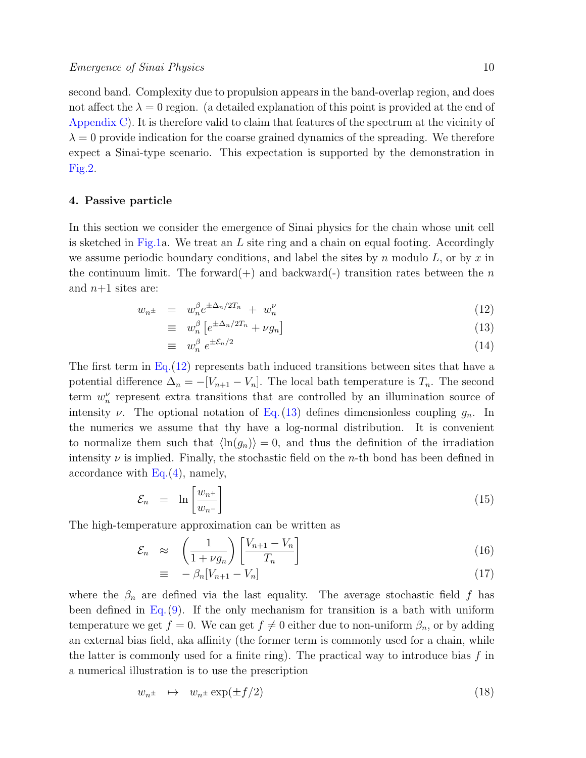second band. Complexity due to propulsion appears in the band-overlap region, and does not affect the  $\lambda = 0$  region. (a detailed explanation of this point is provided at the end of [Appendix C\)](#page-21-0). It is therefore valid to claim that features of the spectrum at the vicinity of  $\lambda = 0$  provide indication for the coarse grained dynamics of the spreading. We therefore expect a Sinai-type scenario. This expectation is supported by the demonstration in Fig[.2.](#page-8-1)

## <span id="page-9-0"></span>4. Passive particle

In this section we consider the emergence of Sinai physics for the chain whose unit cell is sketched in Fig[.1a](#page-2-0). We treat an  $L$  site ring and a chain on equal footing. Accordingly we assume periodic boundary conditions, and label the sites by n modulo  $L$ , or by x in the continuum limit. The forward(+) and backward(-) transition rates between the n and  $n+1$  sites are:

<span id="page-9-1"></span>
$$
w_{n^{\pm}} = w_n^{\beta} e^{\pm \Delta_n/2T_n} + w_n^{\nu}
$$
\n
$$
(12)
$$

$$
\equiv w_n^{\beta} \left[ e^{\pm \Delta_n/2T_n} + \nu g_n \right] \tag{13}
$$

$$
\equiv \quad w_n^{\beta} \; e^{\pm \mathcal{E}_n/2} \tag{14}
$$

The first term in Eq.[\(12\)](#page-9-1) represents bath induced transitions between sites that have a potential difference  $\Delta_n = -[V_{n+1} - V_n]$ . The local bath temperature is  $T_n$ . The second term  $w_n^{\nu}$  represent extra transitions that are controlled by an illumination source of intensity  $\nu$ . The optional notation of Eq.[\(13\)](#page-9-1) defines dimensionless coupling  $g_n$ . In the numerics we assume that thy have a log-normal distribution. It is convenient to normalize them such that  $\langle \ln(g_n) \rangle = 0$ , and thus the definition of the irradiation intensity  $\nu$  is implied. Finally, the stochastic field on the *n*-th bond has been defined in accordance with  $Eq. (4)$  $Eq. (4)$ , namely,

<span id="page-9-3"></span>
$$
\mathcal{E}_n = \ln \left[ \frac{w_{n^+}}{w_{n^-}} \right] \tag{15}
$$

The high-temperature approximation can be written as

<span id="page-9-2"></span>
$$
\mathcal{E}_n \approx \left(\frac{1}{1+\nu g_n}\right) \left[\frac{V_{n+1} - V_n}{T_n}\right] \tag{16}
$$

$$
\equiv -\beta_n[V_{n+1} - V_n] \tag{17}
$$

where the  $\beta_n$  are defined via the last equality. The average stochastic field f has been defined in Eq.  $(9)$ . If the only mechanism for transition is a bath with uniform temperature we get  $f = 0$ . We can get  $f \neq 0$  either due to non-uniform  $\beta_n$ , or by adding an external bias field, aka affinity (the former term is commonly used for a chain, while the latter is commonly used for a finite ring). The practical way to introduce bias  $f$  in a numerical illustration is to use the prescription

$$
w_{n^{\pm}} \quad \mapsto \quad w_{n^{\pm}} \exp(\pm f/2) \tag{18}
$$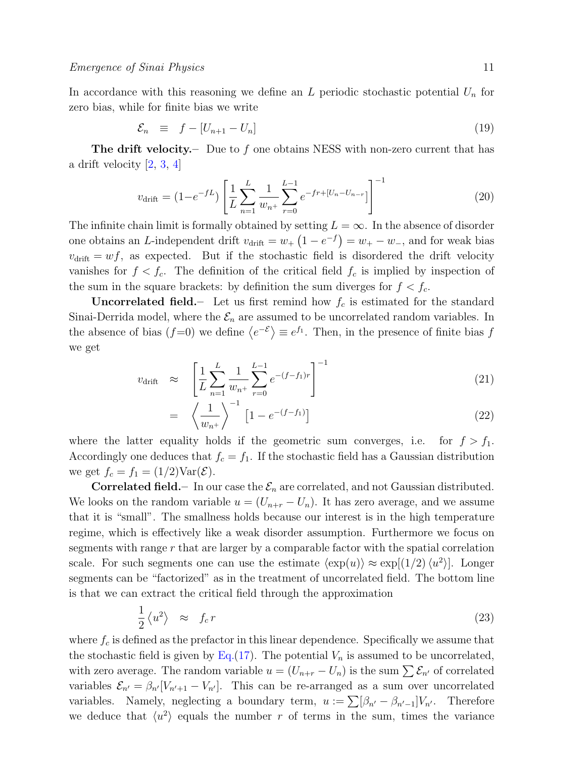In accordance with this reasoning we define an  $L$  periodic stochastic potential  $U_n$  for zero bias, while for finite bias we write

$$
\mathcal{E}_n \equiv f - [U_{n+1} - U_n] \tag{19}
$$

**The drift velocity.** Due to f one obtains NESS with non-zero current that has a drift velocity [\[2,](#page-24-1) [3,](#page-24-2) [4\]](#page-24-3)

<span id="page-10-1"></span>
$$
v_{\text{drift}} = (1 - e^{-fL}) \left[ \frac{1}{L} \sum_{n=1}^{L} \frac{1}{w_{n+1}} \sum_{r=0}^{L-1} e^{-fr + [U_n - U_{n-r}]} \right]^{-1}
$$
(20)

The infinite chain limit is formally obtained by setting  $L = \infty$ . In the absence of disorder one obtains an L-independent drift  $v_{\text{drift}} = w_+ (1 - e^{-f}) = w_+ - w_-$ , and for weak bias  $v_{\text{drift}} = wf$ , as expected. But if the stochastic field is disordered the drift velocity vanishes for  $f < f_c$ . The definition of the critical field  $f_c$  is implied by inspection of the sum in the square brackets: by definition the sum diverges for  $f < f_c$ .

**Uncorrelated field.**- Let us first remind how  $f_c$  is estimated for the standard Sinai-Derrida model, where the  $\mathcal{E}_n$  are assumed to be uncorrelated random variables. In the absence of bias  $(f=0)$  we define  $\langle e^{-\mathcal{E}} \rangle \equiv e^{f_1}$ . Then, in the presence of finite bias f we get

$$
v_{\text{drift}} \approx \left[ \frac{1}{L} \sum_{n=1}^{L} \frac{1}{w_{n+}} \sum_{r=0}^{L-1} e^{-(f-f_1)r} \right]^{-1} \tag{21}
$$

$$
= \left\langle \frac{1}{w_{n^+}} \right\rangle^{-1} \left[ 1 - e^{-(f-f_1)} \right] \tag{22}
$$

where the latter equality holds if the geometric sum converges, i.e. for  $f > f_1$ . Accordingly one deduces that  $f_c = f_1$ . If the stochastic field has a Gaussian distribution we get  $f_c = f_1 = (1/2) \text{Var}(\mathcal{E})$ .

**Correlated field.**– In our case the  $\mathcal{E}_n$  are correlated, and not Gaussian distributed. We looks on the random variable  $u = (U_{n+r} - U_n)$ . It has zero average, and we assume that it is "small". The smallness holds because our interest is in the high temperature regime, which is effectively like a weak disorder assumption. Furthermore we focus on segments with range r that are larger by a comparable factor with the spatial correlation scale. For such segments one can use the estimate  $\langle \exp(u) \rangle \approx \exp[(1/2)\langle u^2 \rangle]$ . Longer segments can be "factorized" as in the treatment of uncorrelated field. The bottom line is that we can extract the critical field through the approximation

<span id="page-10-0"></span>
$$
\frac{1}{2} \langle u^2 \rangle \approx f_c r \tag{23}
$$

where  $f_c$  is defined as the prefactor in this linear dependence. Specifically we assume that the stochastic field is given by  $Eq.(17)$  $Eq.(17)$ . The potential  $V_n$  is assumed to be uncorrelated, with zero average. The random variable  $u = (U_{n+r} - U_n)$  is the sum  $\sum \mathcal{E}_{n'}$  of correlated variables  $\mathcal{E}_{n'} = \beta_{n'}[V_{n'+1} - V_{n'}].$  This can be re-arranged as a sum over uncorrelated variables. Namely, neglecting a boundary term,  $u := \sum [\beta_{n'} - \beta_{n'-1}]V_{n'}$ . Therefore we deduce that  $\langle u^2 \rangle$  equals the number r of terms in the sum, times the variance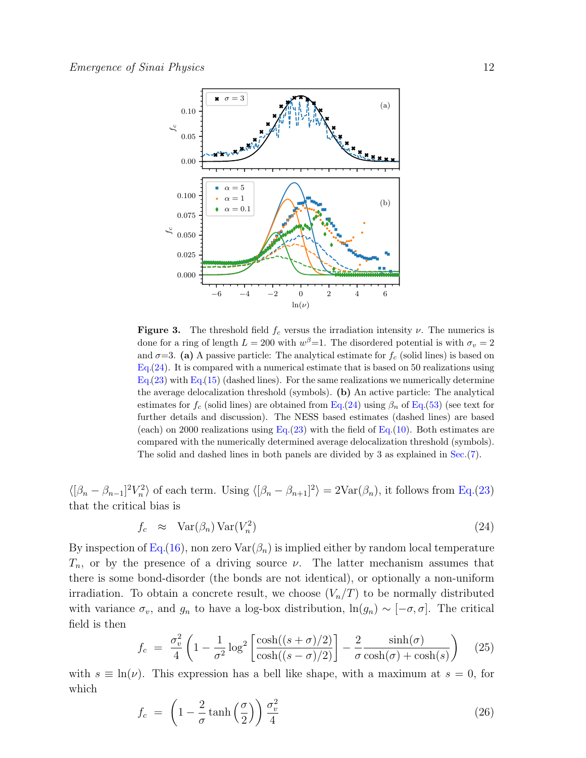

<span id="page-11-1"></span>**Figure 3.** The threshold field  $f_c$  versus the irradiation intensity  $\nu$ . The numerics is done for a ring of length  $L = 200$  with  $w^{\beta} = 1$ . The disordered potential is with  $\sigma_v = 2$ and  $\sigma=3$ . (a) A passive particle: The analytical estimate for  $f_c$  (solid lines) is based on  $Eq.(24)$  $Eq.(24)$ . It is compared with a numerical estimate that is based on 50 realizations using  $Eq.(23)$  $Eq.(23)$  with  $Eq.(15)$  $Eq.(15)$  (dashed lines). For the same realizations we numerically determine the average delocalization threshold (symbols). (b) An active particle: The analytical estimates for  $f_c$  (solid lines) are obtained from Eq.[\(24\)](#page-11-0) using  $\beta_n$  of Eq.[\(53\)](#page-15-0) (see text for further details and discussion). The NESS based estimates (dashed lines) are based (each) on 2000 realizations using Eq.[\(23\)](#page-10-0) with the field of Eq.[\(10\)](#page-7-0). Both estimates are compared with the numerically determined average delocalization threshold (symbols). The solid and dashed lines in both panels are divided by 3 as explained in Sec.[\(7\)](#page-16-0).

 $\langle [\beta_n - \beta_{n-1}]^2 V_n^2 \rangle$  of each term. Using  $\langle [\beta_n - \beta_{n+1}]^2 \rangle = 2 \text{Var}(\beta_n)$ , it follows from Eq.[\(23\)](#page-10-0) that the critical bias is

<span id="page-11-0"></span>
$$
f_c \approx \text{Var}(\beta_n) \text{Var}(V_n^2) \tag{24}
$$

By inspection of Eq.[\(16\)](#page-9-2), non zero  $\text{Var}(\beta_n)$  is implied either by random local temperature  $T_n$ , or by the presence of a driving source  $\nu$ . The latter mechanism assumes that there is some bond-disorder (the bonds are not identical), or optionally a non-uniform irradiation. To obtain a concrete result, we choose  $(V_n/T)$  to be normally distributed with variance  $\sigma_v$ , and  $g_n$  to have a log-box distribution,  $\ln(g_n) \sim [-\sigma, \sigma]$ . The critical field is then

$$
f_c = \frac{\sigma_v^2}{4} \left( 1 - \frac{1}{\sigma^2} \log^2 \left[ \frac{\cosh((s+\sigma)/2)}{\cosh((s-\sigma)/2)} \right] - \frac{2}{\sigma} \frac{\sinh(\sigma)}{\cosh(\sigma) + \cosh(s)} \right) \tag{25}
$$

with  $s \equiv \ln(\nu)$ . This expression has a bell like shape, with a maximum at  $s = 0$ , for which

<span id="page-11-2"></span>
$$
f_c = \left(1 - \frac{2}{\sigma} \tanh\left(\frac{\sigma}{2}\right)\right) \frac{\sigma_v^2}{4} \tag{26}
$$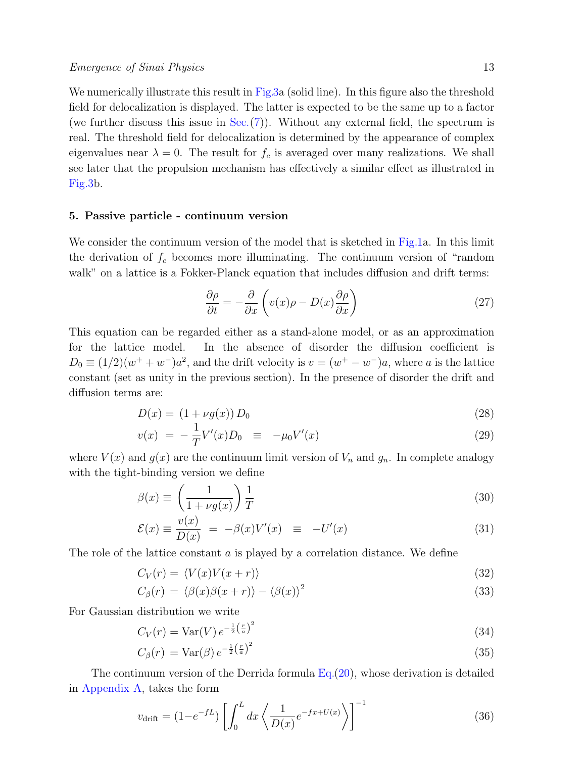We numerically illustrate this result in Fig[.3a](#page-11-1) (solid line). In this figure also the threshold field for delocalization is displayed. The latter is expected to be the same up to a factor (we further discuss this issue in  $Sec.(7)$  $Sec.(7)$ ). Without any external field, the spectrum is real. The threshold field for delocalization is determined by the appearance of complex eigenvalues near  $\lambda = 0$ . The result for  $f_c$  is averaged over many realizations. We shall see later that the propulsion mechanism has effectively a similar effect as illustrated in Fig[.3b](#page-11-1).

## <span id="page-12-0"></span>5. Passive particle - continuum version

We consider the continuum version of the model that is sketched in Fig[.1a](#page-2-0). In this limit the derivation of  $f_c$  becomes more illuminating. The continuum version of "random walk" on a lattice is a Fokker-Planck equation that includes diffusion and drift terms:

<span id="page-12-1"></span>
$$
\frac{\partial \rho}{\partial t} = -\frac{\partial}{\partial x} \left( v(x)\rho - D(x)\frac{\partial \rho}{\partial x} \right) \tag{27}
$$

This equation can be regarded either as a stand-alone model, or as an approximation for the lattice model. In the absence of disorder the diffusion coefficient is  $D_0 \equiv (1/2)(w^+ + w^-)a^2$ , and the drift velocity is  $v = (w^+ - w^-)a$ , where a is the lattice constant (set as unity in the previous section). In the presence of disorder the drift and diffusion terms are:

<span id="page-12-2"></span>
$$
D(x) = (1 + \nu g(x)) D_0 \tag{28}
$$

$$
v(x) = -\frac{1}{T}V'(x)D_0 \equiv -\mu_0 V'(x) \tag{29}
$$

where  $V(x)$  and  $g(x)$  are the continuum limit version of  $V_n$  and  $g_n$ . In complete analogy with the tight-binding version we define

<span id="page-12-3"></span>
$$
\beta(x) \equiv \left(\frac{1}{1 + \nu g(x)}\right) \frac{1}{T} \tag{30}
$$

$$
\mathcal{E}(x) \equiv \frac{v(x)}{D(x)} = -\beta(x)V'(x) \equiv -U'(x) \tag{31}
$$

The role of the lattice constant  $\alpha$  is played by a correlation distance. We define

$$
C_V(r) = \langle V(x)V(x+r) \rangle \tag{32}
$$

$$
C_{\beta}(r) = \langle \beta(x)\beta(x+r) \rangle - \langle \beta(x) \rangle^{2}
$$
\n(33)

For Gaussian distribution we write

$$
C_V(r) = \text{Var}(V) e^{-\frac{1}{2} \left(\frac{r}{a}\right)^2}
$$
\n
$$
(34)
$$

$$
C_{\beta}(r) = \text{Var}(\beta) e^{-\frac{1}{2} \left(\frac{r}{a}\right)^2}
$$
\n(35)

The continuum version of the Derrida formula  $Eq.(20)$  $Eq.(20)$ , whose derivation is detailed in [Appendix A,](#page-19-0) takes the form

<span id="page-12-4"></span>
$$
v_{\text{drift}} = (1 - e^{-fL}) \left[ \int_0^L dx \left\langle \frac{1}{D(x)} e^{-fx + U(x)} \right\rangle \right]^{-1}
$$
 (36)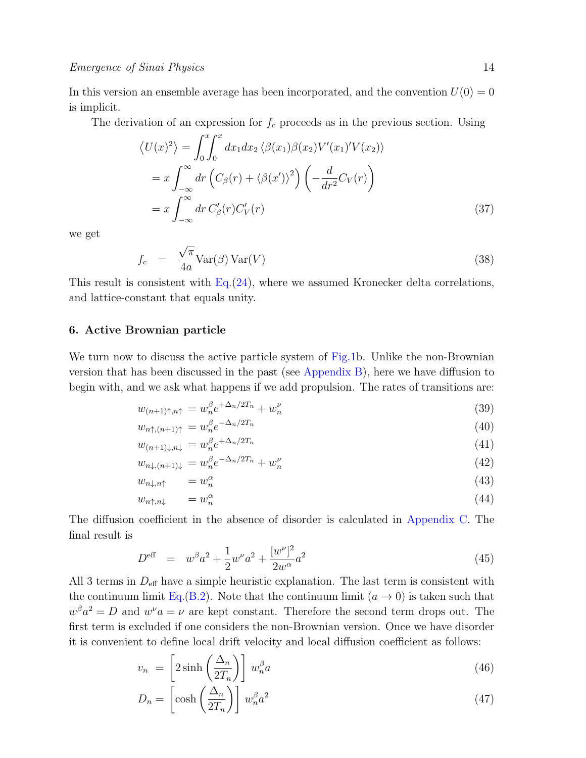In this version an ensemble average has been incorporated, and the convention  $U(0) = 0$ is implicit.

The derivation of an expression for  $f_c$  proceeds as in the previous section. Using

$$
\langle U(x)^2 \rangle = \int_0^x \int_0^x dx_1 dx_2 \langle \beta(x_1) \beta(x_2) V'(x_1)' V(x_2) \rangle
$$
  
=  $x \int_{-\infty}^{\infty} dr \left( C_\beta(r) + \langle \beta(x') \rangle^2 \right) \left( -\frac{d}{dr^2} C_V(r) \right)$   
=  $x \int_{-\infty}^{\infty} dr C'_\beta(r) C'_V(r)$  (37)

we get

<span id="page-13-2"></span>
$$
f_c = \frac{\sqrt{\pi}}{4a} \text{Var}(\beta) \text{Var}(V) \tag{38}
$$

This result is consistent with  $Eq. (24)$  $Eq. (24)$ , where we assumed Kronecker delta correlations, and lattice-constant that equals unity.

#### <span id="page-13-0"></span>6. Active Brownian particle

We turn now to discuss the active particle system of Fig[.1b](#page-2-0). Unlike the non-Brownian version that has been discussed in the past (see [Appendix B\)](#page-20-0), here we have diffusion to begin with, and we ask what happens if we add propulsion. The rates of transitions are:

$$
w_{(n+1)\uparrow,n\uparrow} = w_n^{\beta} e^{+\Delta_n/2T_n} + w_n^{\nu}
$$
\n
$$
\qquad (39)
$$
\n
$$
\qquad (40)
$$

$$
w_{n\uparrow,(n+1)\uparrow} = w_n^{\beta} e^{-\Delta_n/2T_n}
$$
\n
$$
w_{n\uparrow,(n+1)\uparrow} = w_n^{\beta} e^{+\Delta_n/2T_n}
$$
\n(40)

$$
w_{(n+1)\downarrow,n\downarrow} = w_n^{\beta} e^{+\Delta_n/2T_n} \tag{41}
$$

$$
w_{n\downarrow,(n+1)\downarrow} = w_n^{\beta} e^{-\Delta_n/2T_n} + w_n^{\nu}
$$
\n
$$
\tag{42}
$$

$$
w_{n\downarrow,n\uparrow} = w_n^{\alpha} \tag{43}
$$

$$
w_{n\uparrow,n\downarrow} = w_n^{\alpha} \tag{44}
$$

The diffusion coefficient in the absence of disorder is calculated in [Appendix C.](#page-21-0) The final result is

<span id="page-13-1"></span>
$$
D^{\text{eff}} = w^{\beta}a^2 + \frac{1}{2}w^{\nu}a^2 + \frac{[w^{\nu}]^2}{2w^{\alpha}}a^2
$$
\n(45)

All 3 terms in  $D_{\text{eff}}$  have a simple heuristic explanation. The last term is consistent with the continuum limit Eq.[\(B.2\)](#page-20-1). Note that the continuum limit  $(a \to 0)$  is taken such that  $w^{\beta}a^2 = D$  and  $w^{\nu}a = \nu$  are kept constant. Therefore the second term drops out. The first term is excluded if one considers the non-Brownian version. Once we have disorder it is convenient to define local drift velocity and local diffusion coefficient as follows:

$$
v_n = \left[2\sinh\left(\frac{\Delta_n}{2T_n}\right)\right]w_n^{\beta}a\tag{46}
$$

$$
D_n = \left[\cosh\left(\frac{\Delta_n}{2T_n}\right)\right] w_n^{\beta} a^2 \tag{47}
$$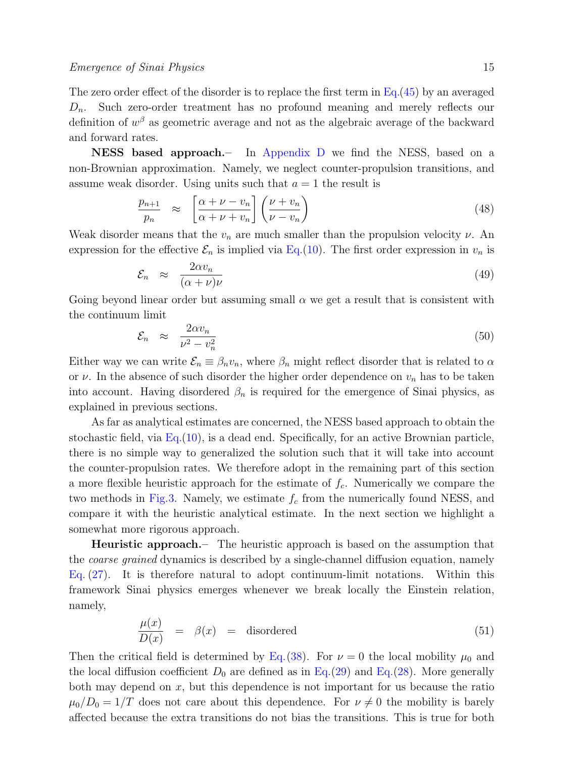The zero order effect of the disorder is to replace the first term in Eq.[\(45\)](#page-13-1) by an averaged  $D_n$ . Such zero-order treatment has no profound meaning and merely reflects our definition of  $w^{\beta}$  as geometric average and not as the algebraic average of the backward and forward rates.

NESS based approach.– In [Appendix D](#page-22-0) we find the NESS, based on a non-Brownian approximation. Namely, we neglect counter-propulsion transitions, and assume weak disorder. Using units such that  $a = 1$  the result is

$$
\frac{p_{n+1}}{p_n} \approx \left[ \frac{\alpha + \nu - v_n}{\alpha + \nu + v_n} \right] \left( \frac{\nu + v_n}{\nu - v_n} \right) \tag{48}
$$

Weak disorder means that the  $v_n$  are much smaller than the propulsion velocity  $\nu$ . An expression for the effective  $\mathcal{E}_n$  is implied via Eq.[\(10\)](#page-7-0). The first order expression in  $v_n$  is

$$
\mathcal{E}_n \approx \frac{2\alpha v_n}{(\alpha + \nu)\nu} \tag{49}
$$

Going beyond linear order but assuming small  $\alpha$  we get a result that is consistent with the continuum limit

$$
\mathcal{E}_n \approx \frac{2\alpha v_n}{\nu^2 - v_n^2} \tag{50}
$$

Either way we can write  $\mathcal{E}_n \equiv \beta_n v_n$ , where  $\beta_n$  might reflect disorder that is related to  $\alpha$ or  $\nu$ . In the absence of such disorder the higher order dependence on  $v_n$  has to be taken into account. Having disordered  $\beta_n$  is required for the emergence of Sinai physics, as explained in previous sections.

As far as analytical estimates are concerned, the NESS based approach to obtain the stochastic field, via  $Eq.(10)$  $Eq.(10)$ , is a dead end. Specifically, for an active Brownian particle, there is no simple way to generalized the solution such that it will take into account the counter-propulsion rates. We therefore adopt in the remaining part of this section a more flexible heuristic approach for the estimate of  $f_c$ . Numerically we compare the two methods in Fig[.3.](#page-11-1) Namely, we estimate  $f_c$  from the numerically found NESS, and compare it with the heuristic analytical estimate. In the next section we highlight a somewhat more rigorous approach.

Heuristic approach.– The heuristic approach is based on the assumption that the *coarse grained* dynamics is described by a single-channel diffusion equation, namely Eq. [\(27\)](#page-12-1). It is therefore natural to adopt continuum-limit notations. Within this framework Sinai physics emerges whenever we break locally the Einstein relation, namely,

$$
\frac{\mu(x)}{D(x)} = \beta(x) = \text{disordered} \tag{51}
$$

Then the critical field is determined by Eq.[\(38\)](#page-13-2). For  $\nu = 0$  the local mobility  $\mu_0$  and the local diffusion coefficient  $D_0$  are defined as in Eq.[\(29\)](#page-12-2) and Eq.[\(28\)](#page-12-2). More generally both may depend on  $x$ , but this dependence is not important for us because the ratio  $\mu_0/D_0 = 1/T$  does not care about this dependence. For  $\nu \neq 0$  the mobility is barely affected because the extra transitions do not bias the transitions. This is true for both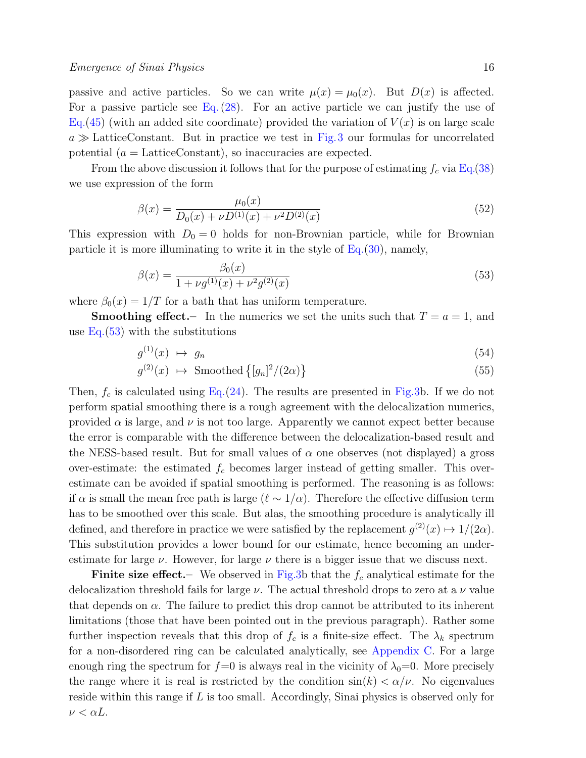passive and active particles. So we can write  $\mu(x) = \mu_0(x)$ . But  $D(x)$  is affected. For a passive particle see Eq.  $(28)$ . For an active particle we can justify the use of Eq.[\(45\)](#page-13-1) (with an added site coordinate) provided the variation of  $V(x)$  is on large scale  $a \gg$  LatticeConstant. But in practice we test in Fig.[3](#page-11-1) our formulas for uncorrelated potential  $(a = \text{LatticeConstant})$ , so inaccuracies are expected.

From the above discussion it follows that for the purpose of estimating  $f_c$  via Eq.[\(38\)](#page-13-2) we use expression of the form

$$
\beta(x) = \frac{\mu_0(x)}{D_0(x) + \nu D^{(1)}(x) + \nu^2 D^{(2)}(x)}\tag{52}
$$

This expression with  $D_0 = 0$  holds for non-Brownian particle, while for Brownian particle it is more illuminating to write it in the style of  $Eq.(30)$  $Eq.(30)$ , namely,

<span id="page-15-0"></span>
$$
\beta(x) = \frac{\beta_0(x)}{1 + \nu g^{(1)}(x) + \nu^2 g^{(2)}(x)}\tag{53}
$$

where  $\beta_0(x) = 1/T$  for a bath that has uniform temperature.

**Smoothing effect.**– In the numerics we set the units such that  $T = a = 1$ , and use  $Eq.(53)$  $Eq.(53)$  with the substitutions

$$
g^{(1)}(x) \ \mapsto \ g_n \tag{54}
$$

$$
g^{(2)}(x) \ \mapsto \ \text{Smoothed}\left\{ [g_n]^2 / (2\alpha) \right\} \tag{55}
$$

Then,  $f_c$  is calculated using Eq.[\(24\)](#page-11-0). The results are presented in Fig[.3b](#page-11-1). If we do not perform spatial smoothing there is a rough agreement with the delocalization numerics, provided  $\alpha$  is large, and  $\nu$  is not too large. Apparently we cannot expect better because the error is comparable with the difference between the delocalization-based result and the NESS-based result. But for small values of  $\alpha$  one observes (not displayed) a gross over-estimate: the estimated  $f_c$  becomes larger instead of getting smaller. This overestimate can be avoided if spatial smoothing is performed. The reasoning is as follows: if  $\alpha$  is small the mean free path is large ( $\ell \sim 1/\alpha$ ). Therefore the effective diffusion term has to be smoothed over this scale. But alas, the smoothing procedure is analytically ill defined, and therefore in practice we were satisfied by the replacement  $g^{(2)}(x) \mapsto 1/(2\alpha)$ . This substitution provides a lower bound for our estimate, hence becoming an underestimate for large  $\nu$ . However, for large  $\nu$  there is a bigger issue that we discuss next.

**Finite size effect.**— We observed in Fig[.3b](#page-11-1) that the  $f_c$  analytical estimate for the delocalization threshold fails for large  $\nu$ . The actual threshold drops to zero at a  $\nu$  value that depends on  $\alpha$ . The failure to predict this drop cannot be attributed to its inherent limitations (those that have been pointed out in the previous paragraph). Rather some further inspection reveals that this drop of  $f_c$  is a finite-size effect. The  $\lambda_k$  spectrum for a non-disordered ring can be calculated analytically, see [Appendix C.](#page-21-0) For a large enough ring the spectrum for  $f=0$  is always real in the vicinity of  $\lambda_0=0$ . More precisely the range where it is real is restricted by the condition  $\sin(k) < \alpha/\nu$ . No eigenvalues reside within this range if L is too small. Accordingly, Sinai physics is observed only for  $\nu < \alpha L$ .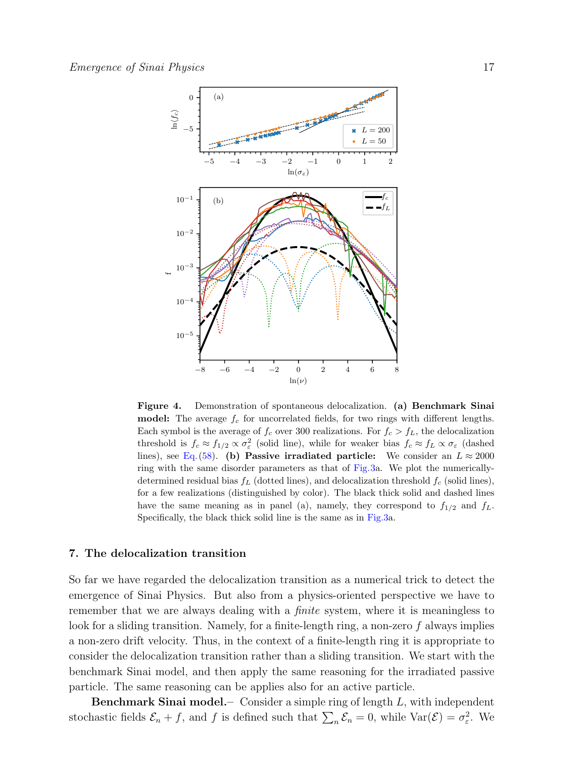

<span id="page-16-1"></span>Figure 4. Demonstration of spontaneous delocalization. (a) Benchmark Sinai **model:** The average  $f_c$  for uncorrelated fields, for two rings with different lengths. Each symbol is the average of  $f_c$  over 300 realizations. For  $f_c > f_L$ , the delocalization threshold is  $f_c \approx f_{1/2} \propto \sigma_\varepsilon^2$  (solid line), while for weaker bias  $f_c \approx f_L \propto \sigma_\varepsilon$  (dashed lines), see Eq. [\(58\)](#page-17-0). (b) Passive irradiated particle: We consider an  $L \approx 2000$ ring with the same disorder parameters as that of Fig[.3a](#page-11-1). We plot the numericallydetermined residual bias  $f_L$  (dotted lines), and delocalization threshold  $f_c$  (solid lines), for a few realizations (distinguished by color). The black thick solid and dashed lines have the same meaning as in panel (a), namely, they correspond to  $f_{1/2}$  and  $f_L$ . Specifically, the black thick solid line is the same as in Fig[.3a](#page-11-1).

#### <span id="page-16-0"></span>7. The delocalization transition

So far we have regarded the delocalization transition as a numerical trick to detect the emergence of Sinai Physics. But also from a physics-oriented perspective we have to remember that we are always dealing with a *finite* system, where it is meaningless to look for a sliding transition. Namely, for a finite-length ring, a non-zero  $f$  always implies a non-zero drift velocity. Thus, in the context of a finite-length ring it is appropriate to consider the delocalization transition rather than a sliding transition. We start with the benchmark Sinai model, and then apply the same reasoning for the irradiated passive particle. The same reasoning can be applies also for an active particle.

**Benchmark Sinai model.**— Consider a simple ring of length  $L$ , with independent stochastic fields  $\mathcal{E}_n + f$ , and f is defined such that  $\sum_n \mathcal{E}_n = 0$ , while  $\text{Var}(\mathcal{E}) = \sigma_{\varepsilon}^2$ . We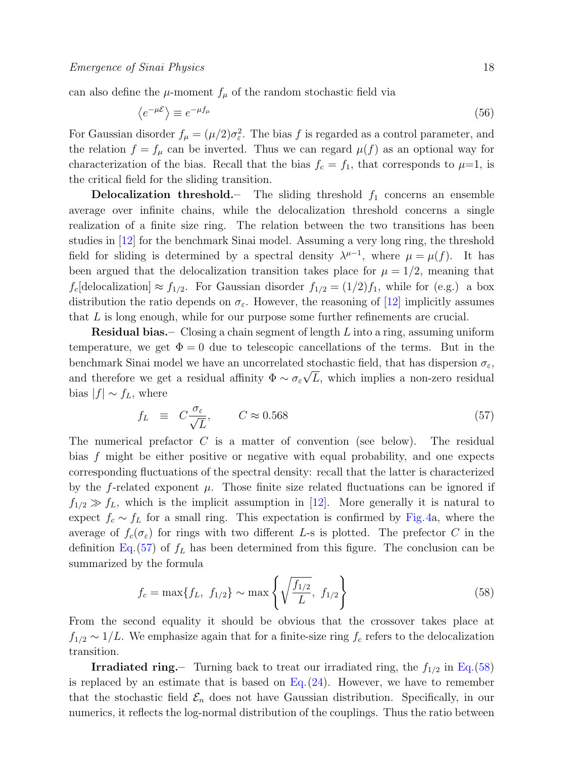can also define the  $\mu$ -moment  $f_{\mu}$  of the random stochastic field via

$$
\langle e^{-\mu \mathcal{E}} \rangle \equiv e^{-\mu f_{\mu}} \tag{56}
$$

For Gaussian disorder  $f_{\mu} = (\mu/2)\sigma_{\varepsilon}^2$ . The bias f is regarded as a control parameter, and the relation  $f = f_{\mu}$  can be inverted. Thus we can regard  $\mu(f)$  as an optional way for characterization of the bias. Recall that the bias  $f_c = f_1$ , that corresponds to  $\mu=1$ , is the critical field for the sliding transition.

**Delocalization threshold.**– The sliding threshold  $f_1$  concerns an ensemble average over infinite chains, while the delocalization threshold concerns a single realization of a finite size ring. The relation between the two transitions has been studies in [\[12\]](#page-24-11) for the benchmark Sinai model. Assuming a very long ring, the threshold field for sliding is determined by a spectral density  $\lambda^{\mu-1}$ , where  $\mu = \mu(f)$ . It has been argued that the delocalization transition takes place for  $\mu = 1/2$ , meaning that  $f_c$ [delocalization]  $\approx f_{1/2}$ . For Gaussian disorder  $f_{1/2} = (1/2)f_1$ , while for (e.g.) a box distribution the ratio depends on  $\sigma_{\varepsilon}$ . However, the reasoning of [\[12\]](#page-24-11) implicitly assumes that  $L$  is long enough, while for our purpose some further refinements are crucial.

**Residual bias.**– Closing a chain segment of length  $L$  into a ring, assuming uniform temperature, we get  $\Phi = 0$  due to telescopic cancellations of the terms. But in the benchmark Sinai model we have an uncorrelated stochastic field, that has dispersion  $\sigma_{\varepsilon}$ , and therefore we get a residual affinity  $\Phi \sim \sigma_{\varepsilon} \sqrt{L}$ , which implies a non-zero residual bias  $|f| \sim f_L$ , where

<span id="page-17-1"></span>
$$
f_L \equiv C \frac{\sigma_{\varepsilon}}{\sqrt{L}}, \qquad C \approx 0.568 \tag{57}
$$

The numerical prefactor C is a matter of convention (see below). The residual bias f might be either positive or negative with equal probability, and one expects corresponding fluctuations of the spectral density: recall that the latter is characterized by the f-related exponent  $\mu$ . Those finite size related fluctuations can be ignored if  $f_{1/2} \gg f_L$ , which is the implicit assumption in [\[12\]](#page-24-11). More generally it is natural to expect  $f_c \sim f_L$  for a small ring. This expectation is confirmed by Fig.[4a](#page-16-1), where the average of  $f_c(\sigma_{\varepsilon})$  for rings with two different L-s is plotted. The prefector C in the definition Eq.  $(57)$  of  $f<sub>L</sub>$  has been determined from this figure. The conclusion can be summarized by the formula

<span id="page-17-0"></span>
$$
f_c = \max\{f_L, f_{1/2}\} \sim \max\left\{\sqrt{\frac{f_{1/2}}{L}}, f_{1/2}\right\}
$$
 (58)

From the second equality it should be obvious that the crossover takes place at  $f_{1/2} \sim 1/L$ . We emphasize again that for a finite-size ring  $f_c$  refers to the delocalization transition.

**Irradiated ring.**– Turning back to treat our irradiated ring, the  $f_{1/2}$  in Eq.[\(58\)](#page-17-0) is replaced by an estimate that is based on  $Eq. (24)$  $Eq. (24)$ . However, we have to remember that the stochastic field  $\mathcal{E}_n$  does not have Gaussian distribution. Specifically, in our numerics, it reflects the log-normal distribution of the couplings. Thus the ratio between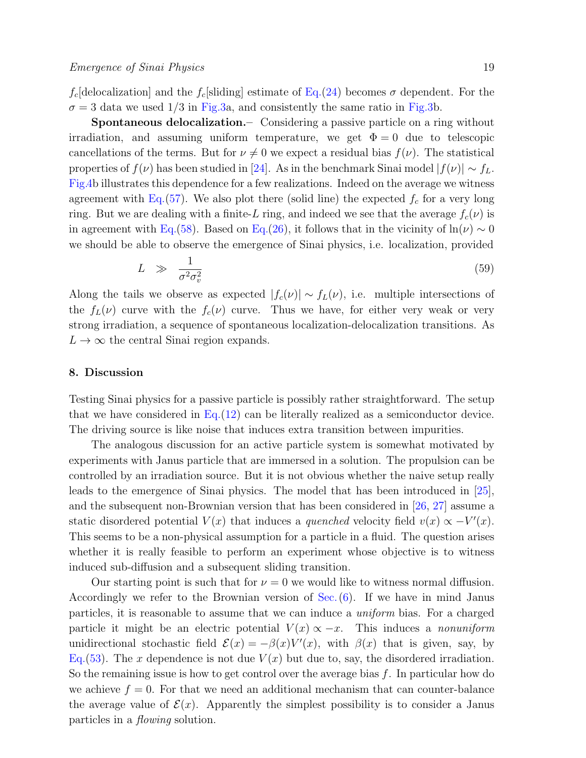$f_c$ [delocalization] and the  $f_c$ [sliding] estimate of Eq.[\(24\)](#page-11-0) becomes  $\sigma$  dependent. For the  $\sigma = 3$  data we used  $1/3$  in Fig[.3a](#page-11-1), and consistently the same ratio in Fig[.3b](#page-11-1).

Spontaneous delocalization.– Considering a passive particle on a ring without irradiation, and assuming uniform temperature, we get  $\Phi = 0$  due to telescopic cancellations of the terms. But for  $\nu \neq 0$  we expect a residual bias  $f(\nu)$ . The statistical properties of  $f(\nu)$  has been studied in [\[24\]](#page-24-23). As in the benchmark Sinai model  $|f(\nu)| \sim f_L$ . Fig[.4b](#page-16-1) illustrates this dependence for a few realizations. Indeed on the average we witness agreement with Eq.[\(57\)](#page-17-1). We also plot there (solid line) the expected  $f_c$  for a very long ring. But we are dealing with a finite-L ring, and indeed we see that the average  $f_c(\nu)$  is in agreement with Eq.[\(58\)](#page-17-0). Based on Eq.[\(26\)](#page-11-2), it follows that in the vicinity of  $ln(\nu) \sim 0$ we should be able to observe the emergence of Sinai physics, i.e. localization, provided

$$
L \quad \gg \quad \frac{1}{\sigma^2 \sigma_v^2} \tag{59}
$$

Along the tails we observe as expected  $|f_c(\nu)| \sim f_L(\nu)$ , i.e. multiple intersections of the  $f_L(\nu)$  curve with the  $f_c(\nu)$  curve. Thus we have, for either very weak or very strong irradiation, a sequence of spontaneous localization-delocalization transitions. As  $L \to \infty$  the central Sinai region expands.

## <span id="page-18-0"></span>8. Discussion

Testing Sinai physics for a passive particle is possibly rather straightforward. The setup that we have considered in  $Eq.(12)$  $Eq.(12)$  can be literally realized as a semiconductor device. The driving source is like noise that induces extra transition between impurities.

The analogous discussion for an active particle system is somewhat motivated by experiments with Janus particle that are immersed in a solution. The propulsion can be controlled by an irradiation source. But it is not obvious whether the naive setup really leads to the emergence of Sinai physics. The model that has been introduced in [\[25\]](#page-24-24), and the subsequent non-Brownian version that has been considered in [\[26,](#page-24-25) [27\]](#page-24-26) assume a static disordered potential  $V(x)$  that induces a *quenched* velocity field  $v(x) \propto -V'(x)$ . This seems to be a non-physical assumption for a particle in a fluid. The question arises whether it is really feasible to perform an experiment whose objective is to witness induced sub-diffusion and a subsequent sliding transition.

Our starting point is such that for  $\nu = 0$  we would like to witness normal diffusion. Accordingly we refer to the Brownian version of Sec.[\(6\)](#page-13-0). If we have in mind Janus particles, it is reasonable to assume that we can induce a uniform bias. For a charged particle it might be an electric potential  $V(x) \propto -x$ . This induces a *nonuniform* unidirectional stochastic field  $\mathcal{E}(x) = -\beta(x)V'(x)$ , with  $\beta(x)$  that is given, say, by Eq.[\(53\)](#page-15-0). The x dependence is not due  $V(x)$  but due to, say, the disordered irradiation. So the remaining issue is how to get control over the average bias f. In particular how do we achieve  $f = 0$ . For that we need an additional mechanism that can counter-balance the average value of  $\mathcal{E}(x)$ . Apparently the simplest possibility is to consider a Janus particles in a flowing solution.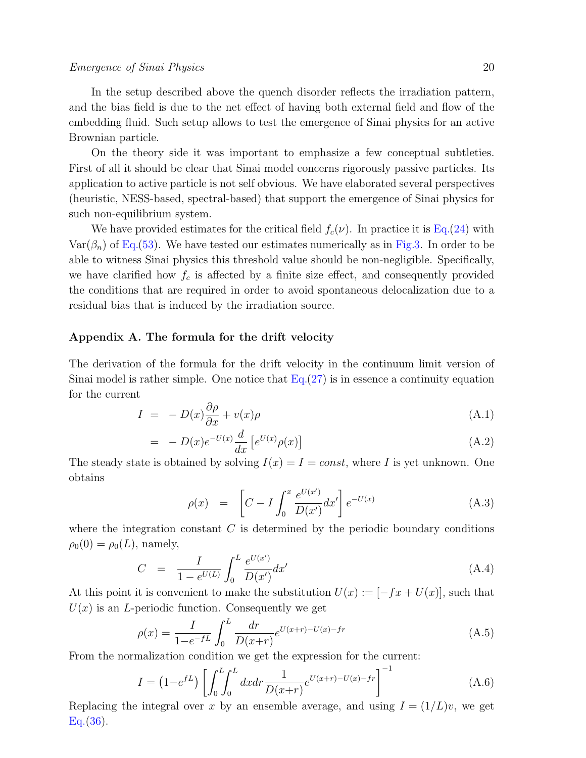In the setup described above the quench disorder reflects the irradiation pattern, and the bias field is due to the net effect of having both external field and flow of the embedding fluid. Such setup allows to test the emergence of Sinai physics for an active Brownian particle.

On the theory side it was important to emphasize a few conceptual subtleties. First of all it should be clear that Sinai model concerns rigorously passive particles. Its application to active particle is not self obvious. We have elaborated several perspectives (heuristic, NESS-based, spectral-based) that support the emergence of Sinai physics for such non-equilibrium system.

We have provided estimates for the critical field  $f_c(\nu)$ . In practice it is Eq.[\(24\)](#page-11-0) with  $\text{Var}(\beta_n)$  of Eq.[\(53\)](#page-15-0). We have tested our estimates numerically as in Fig[.3.](#page-11-1) In order to be able to witness Sinai physics this threshold value should be non-negligible. Specifically, we have clarified how  $f_c$  is affected by a finite size effect, and consequently provided the conditions that are required in order to avoid spontaneous delocalization due to a residual bias that is induced by the irradiation source.

## <span id="page-19-0"></span>Appendix A. The formula for the drift velocity

The derivation of the formula for the drift velocity in the continuum limit version of Sinai model is rather simple. One notice that  $Eq.(27)$  $Eq.(27)$  is in essence a continuity equation for the current

$$
I = -D(x)\frac{\partial \rho}{\partial x} + v(x)\rho \tag{A.1}
$$

$$
= -D(x)e^{-U(x)}\frac{d}{dx}\left[e^{U(x)}\rho(x)\right]
$$
\n(A.2)

The steady state is obtained by solving  $I(x) = I = const$ , where I is yet unknown. One obtains

$$
\rho(x) = \left[ C - I \int_0^x \frac{e^{U(x')}}{D(x')} dx' \right] e^{-U(x)} \tag{A.3}
$$

where the integration constant  $C$  is determined by the periodic boundary conditions  $\rho_0(0) = \rho_0(L)$ , namely,

$$
C = \frac{I}{1 - e^{U(L)}} \int_0^L \frac{e^{U(x')}}{D(x')} dx' \tag{A.4}
$$

At this point it is convenient to make the substitution  $U(x) := [-fx + U(x)]$ , such that  $U(x)$  is an *L*-periodic function. Consequently we get

$$
\rho(x) = \frac{I}{1 - e^{-fL}} \int_0^L \frac{dr}{D(x+r)} e^{U(x+r) - U(x) - fr}
$$
\n(A.5)

From the normalization condition we get the expression for the current:

$$
I = (1 - e^{fL}) \left[ \int_0^L \int_0^L dx dr \frac{1}{D(x+r)} e^{U(x+r) - U(x) - fr} \right]^{-1}
$$
(A.6)

Replacing the integral over x by an ensemble average, and using  $I = (1/L)v$ , we get Eq.[\(36\)](#page-12-4).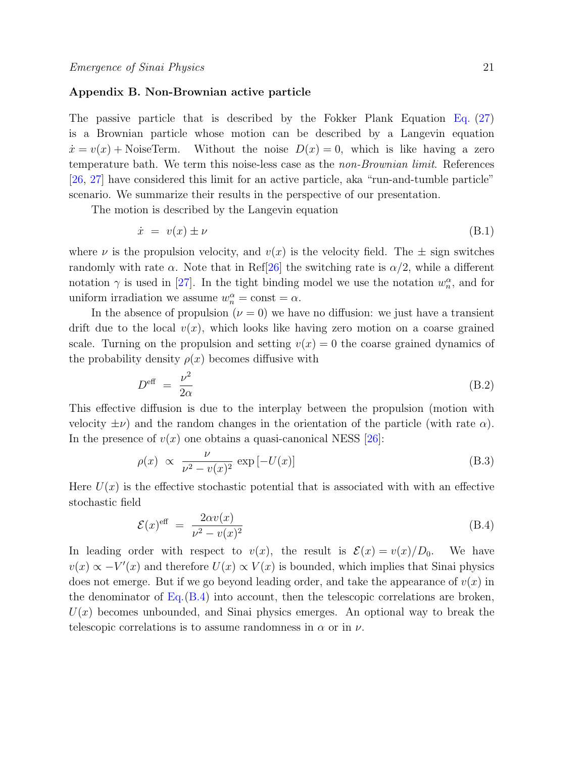## <span id="page-20-0"></span>Appendix B. Non-Brownian active particle

The passive particle that is described by the Fokker Plank Equation Eq. [\(27\)](#page-12-1) is a Brownian particle whose motion can be described by a Langevin equation  $\dot{x} = v(x) + \text{NoiseTerm}$ . Without the noise  $D(x) = 0$ , which is like having a zero temperature bath. We term this noise-less case as the non-Brownian limit. References [\[26,](#page-24-25) [27\]](#page-24-26) have considered this limit for an active particle, aka "run-and-tumble particle" scenario. We summarize their results in the perspective of our presentation.

The motion is described by the Langevin equation

$$
\dot{x} = v(x) \pm \nu \tag{B.1}
$$

where  $\nu$  is the propulsion velocity, and  $v(x)$  is the velocity field. The  $\pm$  sign switches randomly with rate  $\alpha$ . Note that in Ref[\[26\]](#page-24-25) the switching rate is  $\alpha/2$ , while a different notation  $\gamma$  is used in [\[27\]](#page-24-26). In the tight binding model we use the notation  $w_n^{\alpha}$ , and for uniform irradiation we assume  $w_n^{\alpha} = \text{const} = \alpha$ .

In the absence of propulsion ( $\nu = 0$ ) we have no diffusion: we just have a transient drift due to the local  $v(x)$ , which looks like having zero motion on a coarse grained scale. Turning on the propulsion and setting  $v(x) = 0$  the coarse grained dynamics of the probability density  $\rho(x)$  becomes diffusive with

<span id="page-20-1"></span>
$$
D^{\text{eff}} = \frac{\nu^2}{2\alpha} \tag{B.2}
$$

This effective diffusion is due to the interplay between the propulsion (motion with velocity  $\pm \nu$ ) and the random changes in the orientation of the particle (with rate  $\alpha$ ). In the presence of  $v(x)$  one obtains a quasi-canonical NESS [\[26\]](#page-24-25):

$$
\rho(x) \propto \frac{\nu}{\nu^2 - v(x)^2} \exp[-U(x)] \tag{B.3}
$$

Here  $U(x)$  is the effective stochastic potential that is associated with with an effective stochastic field

<span id="page-20-2"></span>
$$
\mathcal{E}(x)^{\text{eff}} = \frac{2\alpha v(x)}{\nu^2 - v(x)^2}
$$
 (B.4)

In leading order with respect to  $v(x)$ , the result is  $\mathcal{E}(x) = v(x)/D_0$ . We have  $v(x) \propto -V'(x)$  and therefore  $U(x) \propto V(x)$  is bounded, which implies that Sinai physics does not emerge. But if we go beyond leading order, and take the appearance of  $v(x)$  in the denominator of  $Eq.(B.4)$  $Eq.(B.4)$  into account, then the telescopic correlations are broken,  $U(x)$  becomes unbounded, and Sinai physics emerges. An optional way to break the telescopic correlations is to assume randomness in  $\alpha$  or in  $\nu$ .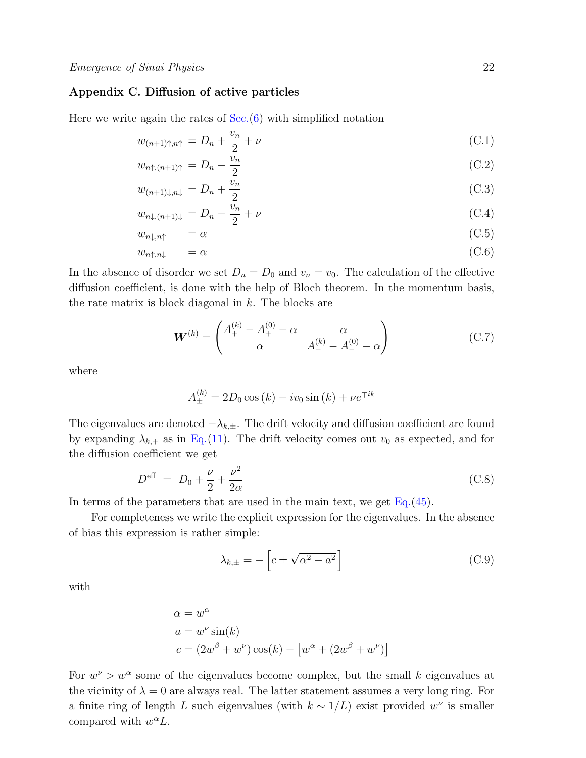# <span id="page-21-0"></span>Appendix C. Diffusion of active particles

Here we write again the rates of  $Sec.6$  with simplified notation

$$
w_{(n+1)\uparrow,n\uparrow} = D_n + \frac{v_n}{2} + \nu \tag{C.1}
$$

$$
w_{n\uparrow,(n+1)\uparrow} = D_n - \frac{v_n}{2} \tag{C.2}
$$

$$
w_{(n+1)\downarrow,n\downarrow} = D_n + \frac{v_n}{2} \tag{C.3}
$$

$$
w_{n\downarrow,(n+1)\downarrow} = D_n - \frac{\bar{v}_n}{2} + \nu \tag{C.4}
$$

$$
w_{n\downarrow,n\uparrow} = \alpha \tag{C.5}
$$

$$
w_{n\uparrow,n\downarrow} = \alpha \tag{C.6}
$$

In the absence of disorder we set  $D_n = D_0$  and  $v_n = v_0$ . The calculation of the effective diffusion coefficient, is done with the help of Bloch theorem. In the momentum basis, the rate matrix is block diagonal in  $k$ . The blocks are

$$
\boldsymbol{W}^{(k)} = \begin{pmatrix} A_+^{(k)} - A_+^{(0)} - \alpha & \alpha \\ \alpha & A_-^{(k)} - A_-^{(0)} - \alpha \end{pmatrix}
$$
 (C.7)

where

$$
A_{\pm}^{(k)} = 2D_0 \cos(k) - iv_0 \sin(k) + \nu e^{\mp ik}
$$

The eigenvalues are denoted  $-\lambda_{k,\pm}$ . The drift velocity and diffusion coefficient are found by expanding  $\lambda_{k,+}$  as in Eq.[\(11\)](#page-8-0). The drift velocity comes out  $v_0$  as expected, and for the diffusion coefficient we get

<span id="page-21-1"></span>
$$
D^{\text{eff}} = D_0 + \frac{\nu}{2} + \frac{\nu^2}{2\alpha} \tag{C.8}
$$

In terms of the parameters that are used in the main text, we get Eq.[\(45\)](#page-13-1).

For completeness we write the explicit expression for the eigenvalues. In the absence of bias this expression is rather simple:

$$
\lambda_{k,\pm} = -\left[c \pm \sqrt{\alpha^2 - a^2}\right]
$$
 (C.9)

with

$$
\alpha = w^{\alpha}
$$
  
\n
$$
a = w^{\nu} \sin(k)
$$
  
\n
$$
c = (2w^{\beta} + w^{\nu}) \cos(k) - [w^{\alpha} + (2w^{\beta} + w^{\nu})]
$$

For  $w^{\nu} > w^{\alpha}$  some of the eigenvalues become complex, but the small k eigenvalues at the vicinity of  $\lambda = 0$  are always real. The latter statement assumes a very long ring. For a finite ring of length L such eigenvalues (with  $k \sim 1/L$ ) exist provided  $w^{\nu}$  is smaller compared with  $w^{\alpha}L$ .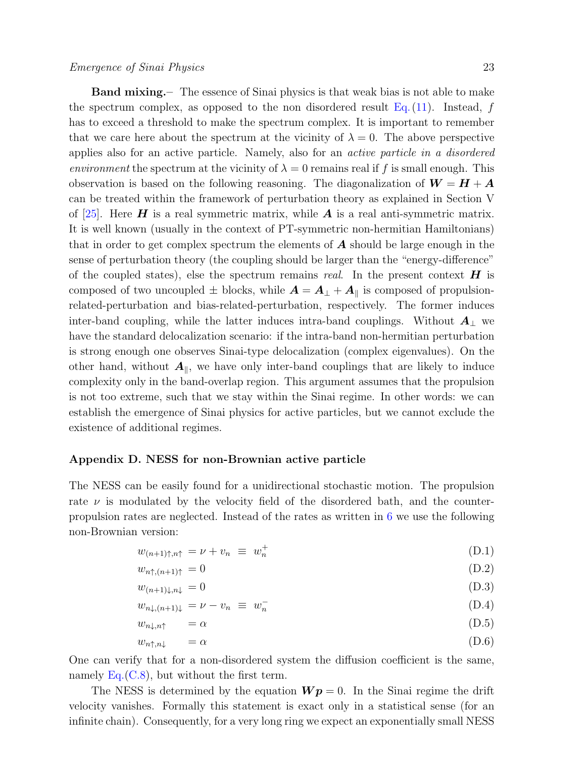Band mixing.– The essence of Sinai physics is that weak bias is not able to make the spectrum complex, as opposed to the non disordered result Eq.  $(11)$ . Instead, f has to exceed a threshold to make the spectrum complex. It is important to remember that we care here about the spectrum at the vicinity of  $\lambda = 0$ . The above perspective applies also for an active particle. Namely, also for an active particle in a disordered environment the spectrum at the vicinity of  $\lambda = 0$  remains real if f is small enough. This observation is based on the following reasoning. The diagonalization of  $W = H + A$ can be treated within the framework of perturbation theory as explained in Section V of [\[25\]](#page-24-24). Here  $\boldsymbol{H}$  is a real symmetric matrix, while  $\boldsymbol{A}$  is a real anti-symmetric matrix. It is well known (usually in the context of PT-symmetric non-hermitian Hamiltonians) that in order to get complex spectrum the elements of  $\boldsymbol{A}$  should be large enough in the sense of perturbation theory (the coupling should be larger than the "energy-difference" of the coupled states), else the spectrum remains real. In the present context  $\boldsymbol{H}$  is composed of two uncoupled  $\pm$  blocks, while  $\mathbf{A} = \mathbf{A}_{\perp} + \mathbf{A}_{\parallel}$  is composed of propulsionrelated-perturbation and bias-related-perturbation, respectively. The former induces inter-band coupling, while the latter induces intra-band couplings. Without  $\mathbf{A}_{\perp}$  we have the standard delocalization scenario: if the intra-band non-hermitian perturbation is strong enough one observes Sinai-type delocalization (complex eigenvalues). On the other hand, without  $A_{\parallel}$ , we have only inter-band couplings that are likely to induce complexity only in the band-overlap region. This argument assumes that the propulsion is not too extreme, such that we stay within the Sinai regime. In other words: we can establish the emergence of Sinai physics for active particles, but we cannot exclude the existence of additional regimes.

#### <span id="page-22-0"></span>Appendix D. NESS for non-Brownian active particle

The NESS can be easily found for a unidirectional stochastic motion. The propulsion rate  $\nu$  is modulated by the velocity field of the disordered bath, and the counterpropulsion rates are neglected. Instead of the rates as written in [6](#page-13-0) we use the following non-Brownian version:

$$
w_{(n+1)\uparrow,n\uparrow} = \nu + v_n \equiv w_n^+ \tag{D.1}
$$

$$
w_{n\uparrow,(n+1)\uparrow} = 0 \tag{D.2}
$$

$$
w_{(n+1)\downarrow,n\downarrow} = 0 \tag{D.3}
$$

$$
w_{n\downarrow,(n+1)\downarrow} = \nu - v_n \equiv w_n^- \tag{D.4}
$$

$$
w_{n\downarrow,n\uparrow} = \alpha \tag{D.5}
$$

$$
w_{n\uparrow,n\downarrow} = \alpha \tag{D.6}
$$

One can verify that for a non-disordered system the diffusion coefficient is the same, namely  $Eq.(C.8)$  $Eq.(C.8)$ , but without the first term.

The NESS is determined by the equation  $Wp = 0$ . In the Sinai regime the drift velocity vanishes. Formally this statement is exact only in a statistical sense (for an infinite chain). Consequently, for a very long ring we expect an exponentially small NESS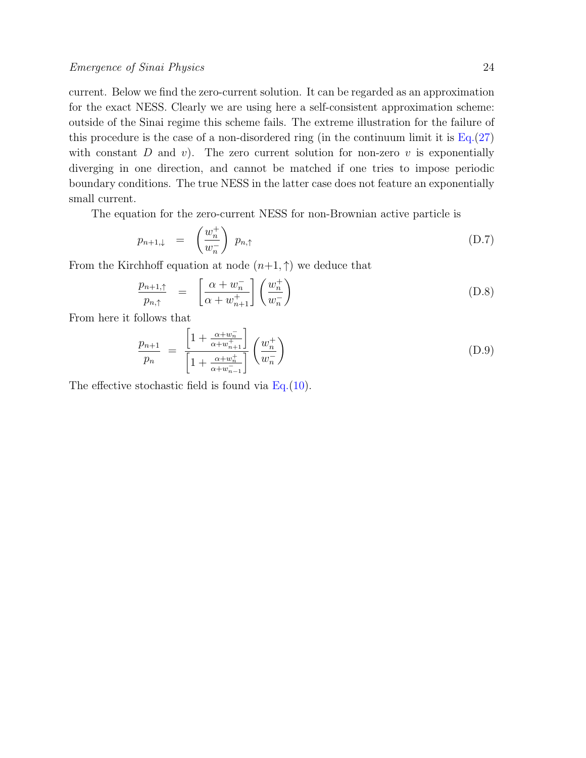current. Below we find the zero-current solution. It can be regarded as an approximation for the exact NESS. Clearly we are using here a self-consistent approximation scheme: outside of the Sinai regime this scheme fails. The extreme illustration for the failure of this procedure is the case of a non-disordered ring (in the continuum limit it is  $Eq.(27)$  $Eq.(27)$ with constant D and v). The zero current solution for non-zero v is exponentially diverging in one direction, and cannot be matched if one tries to impose periodic boundary conditions. The true NESS in the latter case does not feature an exponentially small current.

The equation for the zero-current NESS for non-Brownian active particle is

$$
p_{n+1,\downarrow} = \left(\frac{w_n^+}{w_n^-}\right) p_{n,\uparrow} \tag{D.7}
$$

From the Kirchhoff equation at node  $(n+1, \uparrow)$  we deduce that

$$
\frac{p_{n+1,\uparrow}}{p_{n,\uparrow}} = \left[ \frac{\alpha + w_n^-}{\alpha + w_{n+1}^+} \right] \left( \frac{w_n^+}{w_n^-} \right) \tag{D.8}
$$

From here it follows that

$$
\frac{p_{n+1}}{p_n} = \frac{\left[1 + \frac{\alpha + w_n^-}{\alpha + w_{n+1}^+}\right]}{\left[1 + \frac{\alpha + w_n^+}{\alpha + w_{n-1}^-}\right]} \left(\frac{w_n^+}{w_n^-}\right)
$$
\n(D.9)

The effective stochastic field is found via  $Eq.(10)$  $Eq.(10)$ .